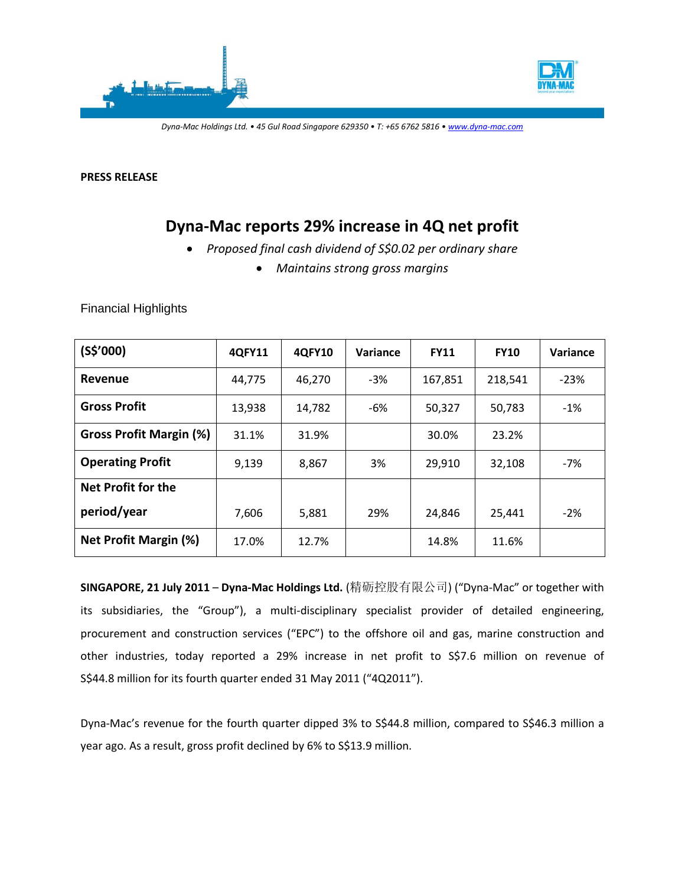



*Dyna-Mac Holdings Ltd. • 45 Gul Road Singapore 629350 • T: +65 6762 5816 • www.dyna-mac.com*

**PRESS RELEASE**

# **Dyna-Mac reports 29% increase in 4Q net profit**

- *Proposed final cash dividend of S\$0.02 per ordinary share*
	- *Maintains strong gross margins*

| <b>Financial Highlights</b> |  |
|-----------------------------|--|
|-----------------------------|--|

| $(S$^{\prime}000)$             | 4QFY11 | 4QFY10 | Variance | <b>FY11</b> | <b>FY10</b> | Variance |
|--------------------------------|--------|--------|----------|-------------|-------------|----------|
| Revenue                        | 44,775 | 46,270 | $-3%$    | 167,851     | 218,541     | $-23%$   |
| <b>Gross Profit</b>            | 13,938 | 14,782 | -6%      | 50,327      | 50,783      | $-1\%$   |
| <b>Gross Profit Margin (%)</b> | 31.1%  | 31.9%  |          | 30.0%       | 23.2%       |          |
| <b>Operating Profit</b>        | 9,139  | 8,867  | 3%       | 29,910      | 32,108      | $-7%$    |
| Net Profit for the             |        |        |          |             |             |          |
| period/year                    | 7,606  | 5,881  | 29%      | 24,846      | 25,441      | $-2%$    |
| <b>Net Profit Margin (%)</b>   | 17.0%  | 12.7%  |          | 14.8%       | 11.6%       |          |

**SINGAPORE, 21 July 2011** – **Dyna-Mac Holdings Ltd.** (精砺控股有限公司) ("Dyna-Mac" or together with its subsidiaries, the "Group"), a multi-disciplinary specialist provider of detailed engineering, procurement and construction services ("EPC") to the offshore oil and gas, marine construction and other industries, today reported a 29% increase in net profit to S\$7.6 million on revenue of S\$44.8 million for its fourth quarter ended 31 May 2011 ("4Q2011").

Dyna-Mac's revenue for the fourth quarter dipped 3% to S\$44.8 million, compared to S\$46.3 million a year ago. As a result, gross profit declined by 6% to S\$13.9 million.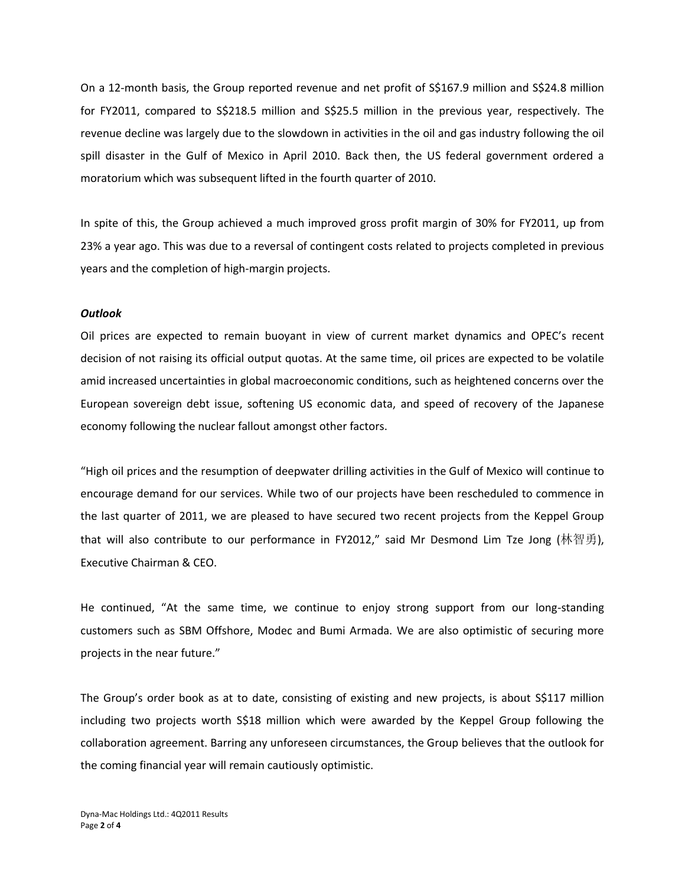On a 12-month basis, the Group reported revenue and net profit of S\$167.9 million and S\$24.8 million for FY2011, compared to S\$218.5 million and S\$25.5 million in the previous year, respectively. The revenue decline was largely due to the slowdown in activities in the oil and gas industry following the oil spill disaster in the Gulf of Mexico in April 2010. Back then, the US federal government ordered a moratorium which was subsequent lifted in the fourth quarter of 2010.

In spite of this, the Group achieved a much improved gross profit margin of 30% for FY2011, up from 23% a year ago. This was due to a reversal of contingent costs related to projects completed in previous years and the completion of high-margin projects.

#### *Outlook*

Oil prices are expected to remain buoyant in view of current market dynamics and OPEC's recent decision of not raising its official output quotas. At the same time, oil prices are expected to be volatile amid increased uncertainties in global macroeconomic conditions, such as heightened concerns over the European sovereign debt issue, softening US economic data, and speed of recovery of the Japanese economy following the nuclear fallout amongst other factors.

"High oil prices and the resumption of deepwater drilling activities in the Gulf of Mexico will continue to encourage demand for our services. While two of our projects have been rescheduled to commence in the last quarter of 2011, we are pleased to have secured two recent projects from the Keppel Group that will also contribute to our performance in FY2012," said Mr Desmond Lim Tze Jong (林智勇), Executive Chairman & CEO.

He continued, "At the same time, we continue to enjoy strong support from our long-standing customers such as SBM Offshore, Modec and Bumi Armada. We are also optimistic of securing more projects in the near future."

The Group's order book as at to date, consisting of existing and new projects, is about S\$117 million including two projects worth S\$18 million which were awarded by the Keppel Group following the collaboration agreement. Barring any unforeseen circumstances, the Group believes that the outlook for the coming financial year will remain cautiously optimistic.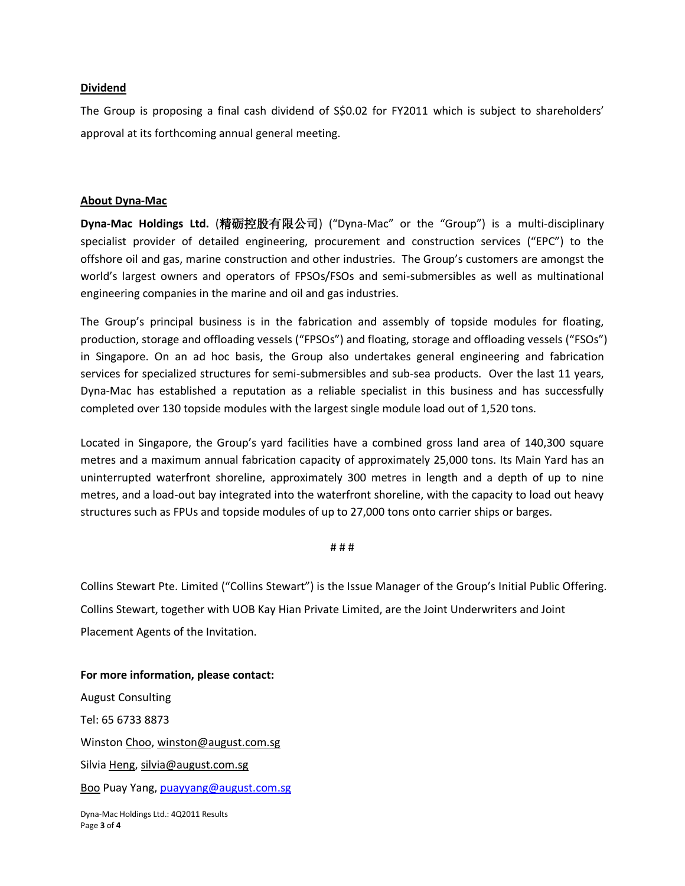### **Dividend**

The Group is proposing a final cash dividend of S\$0.02 for FY2011 which is subject to shareholders' approval at its forthcoming annual general meeting.

### **About Dyna-Mac**

**Dyna-Mac Holdings Ltd.** (精砺控股有限公司) ("Dyna-Mac" or the "Group") is a multi-disciplinary specialist provider of detailed engineering, procurement and construction services ("EPC") to the offshore oil and gas, marine construction and other industries. The Group's customers are amongst the world's largest owners and operators of FPSOs/FSOs and semi-submersibles as well as multinational engineering companies in the marine and oil and gas industries.

The Group's principal business is in the fabrication and assembly of topside modules for floating, production, storage and offloading vessels ("FPSOs") and floating, storage and offloading vessels ("FSOs") in Singapore. On an ad hoc basis, the Group also undertakes general engineering and fabrication services for specialized structures for semi-submersibles and sub-sea products. Over the last 11 years, Dyna-Mac has established a reputation as a reliable specialist in this business and has successfully completed over 130 topside modules with the largest single module load out of 1,520 tons.

Located in Singapore, the Group's yard facilities have a combined gross land area of 140,300 square metres and a maximum annual fabrication capacity of approximately 25,000 tons. Its Main Yard has an uninterrupted waterfront shoreline, approximately 300 metres in length and a depth of up to nine metres, and a load-out bay integrated into the waterfront shoreline, with the capacity to load out heavy structures such as FPUs and topside modules of up to 27,000 tons onto carrier ships or barges.

#### # # #

Collins Stewart Pte. Limited ("Collins Stewart") is the Issue Manager of the Group's Initial Public Offering. Collins Stewart, together with UOB Kay Hian Private Limited, are the Joint Underwriters and Joint Placement Agents of the Invitation.

Dyna-Mac Holdings Ltd.: 4Q2011 Results **For more information, please contact:** August Consulting Tel: 65 6733 8873 Winston Choo[, winston@august.com.sg](mailto:winston@august.com.sg) Silvia Heng, [silvia@august.com.sg](mailto:silvia@august.com.sg) Boo Puay Yang, [puayyang@august.com.sg](mailto:puayyang@august.com.sg)

Page **3** of **4**